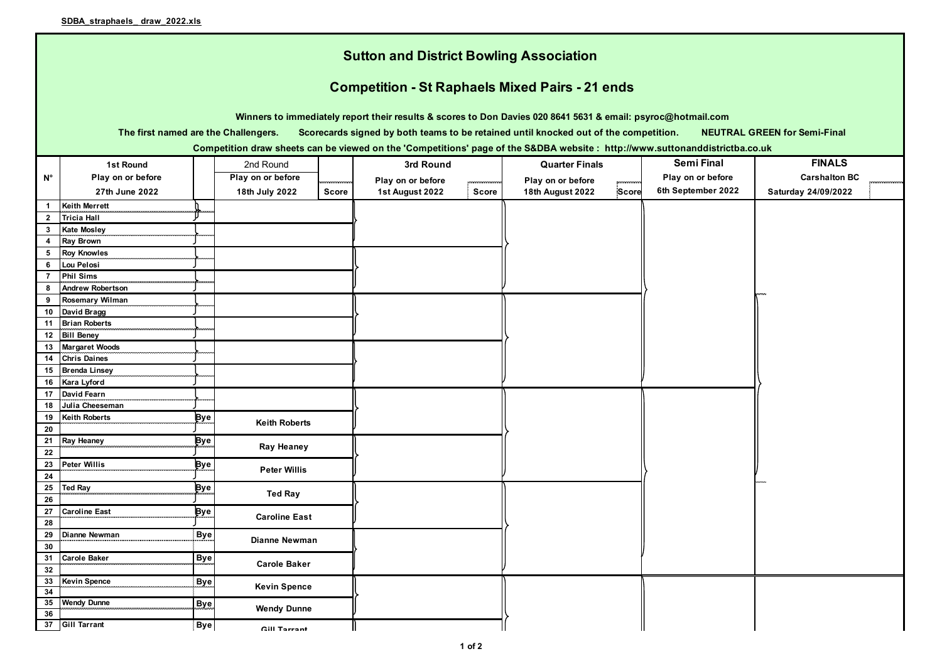|                                                                                                                              | <b>Sutton and District Bowling Association</b>                                                                                                                      |            |                      |       |                   |       |                       |              |                    |                      |  |  |  |
|------------------------------------------------------------------------------------------------------------------------------|---------------------------------------------------------------------------------------------------------------------------------------------------------------------|------------|----------------------|-------|-------------------|-------|-----------------------|--------------|--------------------|----------------------|--|--|--|
|                                                                                                                              | <b>Competition - St Raphaels Mixed Pairs - 21 ends</b>                                                                                                              |            |                      |       |                   |       |                       |              |                    |                      |  |  |  |
|                                                                                                                              |                                                                                                                                                                     |            |                      |       |                   |       |                       |              |                    |                      |  |  |  |
|                                                                                                                              | Winners to immediately report their results & scores to Don Davies 020 8641 5631 & email: psyroc@hotmail.com                                                        |            |                      |       |                   |       |                       |              |                    |                      |  |  |  |
|                                                                                                                              | The first named are the Challengers.<br><b>NEUTRAL GREEN for Semi-Final</b><br>Scorecards signed by both teams to be retained until knocked out of the competition. |            |                      |       |                   |       |                       |              |                    |                      |  |  |  |
| Competition draw sheets can be viewed on the 'Competitions' page of the S&DBA website : http://www.suttonanddistrictba.co.uk |                                                                                                                                                                     |            |                      |       |                   |       |                       |              |                    |                      |  |  |  |
|                                                                                                                              | 1st Round                                                                                                                                                           |            | 2nd Round            |       | 3rd Round         |       | <b>Quarter Finals</b> |              | <b>Semi Final</b>  | <b>FINALS</b>        |  |  |  |
| Ν°                                                                                                                           | Play on or before                                                                                                                                                   |            | Play on or before    |       | Play on or before |       | Play on or before     |              | Play on or before  | <b>Carshalton BC</b> |  |  |  |
|                                                                                                                              | 27th June 2022                                                                                                                                                      |            | 18th July 2022       | Score | 1st August 2022   | Score | 18th August 2022      | <b>Score</b> | 6th September 2022 | Saturday 24/09/2022  |  |  |  |
| $\mathbf{1}$                                                                                                                 | <b>Keith Merrett</b>                                                                                                                                                |            |                      |       |                   |       |                       |              |                    |                      |  |  |  |
| $\mathbf{2}$                                                                                                                 | <b>Tricia Hall</b>                                                                                                                                                  |            |                      |       |                   |       |                       |              |                    |                      |  |  |  |
| $\mathbf{3}$                                                                                                                 | <b>Kate Mosley</b>                                                                                                                                                  |            |                      |       |                   |       |                       |              |                    |                      |  |  |  |
| 4                                                                                                                            | <b>Ray Brown</b>                                                                                                                                                    |            |                      |       |                   |       |                       |              |                    |                      |  |  |  |
|                                                                                                                              | 5 Roy Knowles                                                                                                                                                       |            |                      |       |                   |       |                       |              |                    |                      |  |  |  |
| 6                                                                                                                            | <b>Lou Pelosi</b>                                                                                                                                                   |            |                      |       |                   |       |                       |              |                    |                      |  |  |  |
| $\overline{7}$                                                                                                               | <b>Phil Sims</b>                                                                                                                                                    |            |                      |       |                   |       |                       |              |                    |                      |  |  |  |
| 8                                                                                                                            | <b>Andrew Robertson</b>                                                                                                                                             |            |                      |       |                   |       |                       |              |                    |                      |  |  |  |
| 9                                                                                                                            | <b>Rosemary Wilman</b>                                                                                                                                              |            |                      |       |                   |       |                       |              |                    |                      |  |  |  |
| 10                                                                                                                           | David Bragg                                                                                                                                                         |            |                      |       |                   |       |                       |              |                    |                      |  |  |  |
| 11                                                                                                                           | <b>Brian Roberts</b>                                                                                                                                                |            |                      |       |                   |       |                       |              |                    |                      |  |  |  |
| 12                                                                                                                           | <b>Bill Beney</b>                                                                                                                                                   |            |                      |       |                   |       |                       |              |                    |                      |  |  |  |
|                                                                                                                              | 13 Margaret Woods                                                                                                                                                   |            |                      |       |                   |       |                       |              |                    |                      |  |  |  |
| 14                                                                                                                           | <b>Chris Daines</b>                                                                                                                                                 |            |                      |       |                   |       |                       |              |                    |                      |  |  |  |
| 16                                                                                                                           | 15 Brenda Linsey<br>Kara Lyford                                                                                                                                     |            |                      |       |                   |       |                       |              |                    |                      |  |  |  |
|                                                                                                                              | 17 David Fearn                                                                                                                                                      |            |                      |       |                   |       |                       |              |                    |                      |  |  |  |
| 18                                                                                                                           | Julia Cheeseman                                                                                                                                                     |            |                      |       |                   |       |                       |              |                    |                      |  |  |  |
| 19                                                                                                                           | <b>Keith Roberts</b>                                                                                                                                                | Bye        |                      |       |                   |       |                       |              |                    |                      |  |  |  |
| 20                                                                                                                           |                                                                                                                                                                     |            | <b>Keith Roberts</b> |       |                   |       |                       |              |                    |                      |  |  |  |
| 21                                                                                                                           | <b>Ray Heaney</b>                                                                                                                                                   | <b>Bye</b> |                      |       |                   |       |                       |              |                    |                      |  |  |  |
| 22                                                                                                                           |                                                                                                                                                                     |            | <b>Ray Heaney</b>    |       |                   |       |                       |              |                    |                      |  |  |  |
| 23                                                                                                                           | <b>Peter Willis</b>                                                                                                                                                 | Bye        | <b>Peter Willis</b>  |       |                   |       |                       |              |                    |                      |  |  |  |
| 24                                                                                                                           |                                                                                                                                                                     |            |                      |       |                   |       |                       |              |                    |                      |  |  |  |
|                                                                                                                              | 25 Ted Ray                                                                                                                                                          | Bye        | <b>Ted Ray</b>       |       |                   |       |                       |              |                    |                      |  |  |  |
| 26                                                                                                                           |                                                                                                                                                                     |            |                      |       |                   |       |                       |              |                    |                      |  |  |  |
| 27                                                                                                                           | <b>Caroline East</b>                                                                                                                                                | Bye        | <b>Caroline East</b> |       |                   |       |                       |              |                    |                      |  |  |  |
| 28                                                                                                                           |                                                                                                                                                                     |            |                      |       |                   |       |                       |              |                    |                      |  |  |  |
|                                                                                                                              | 29 Dianne Newman                                                                                                                                                    | Bye        | <b>Dianne Newman</b> |       |                   |       |                       |              |                    |                      |  |  |  |
| 30                                                                                                                           |                                                                                                                                                                     |            |                      |       |                   |       |                       |              |                    |                      |  |  |  |
| 32                                                                                                                           | 31 Carole Baker                                                                                                                                                     | Bye        | <b>Carole Baker</b>  |       |                   |       |                       |              |                    |                      |  |  |  |
|                                                                                                                              | 33 Kevin Spence                                                                                                                                                     | Bye        |                      |       |                   |       |                       |              |                    |                      |  |  |  |
| 34                                                                                                                           |                                                                                                                                                                     |            | <b>Kevin Spence</b>  |       |                   |       |                       |              |                    |                      |  |  |  |
| 36                                                                                                                           | 35 Wendy Dunne                                                                                                                                                      | <b>Bye</b> | <b>Wendy Dunne</b>   |       |                   |       |                       |              |                    |                      |  |  |  |
|                                                                                                                              | 37 Gill Tarrant                                                                                                                                                     | <b>Bye</b> | Cill Torrant         |       |                   |       |                       |              |                    |                      |  |  |  |